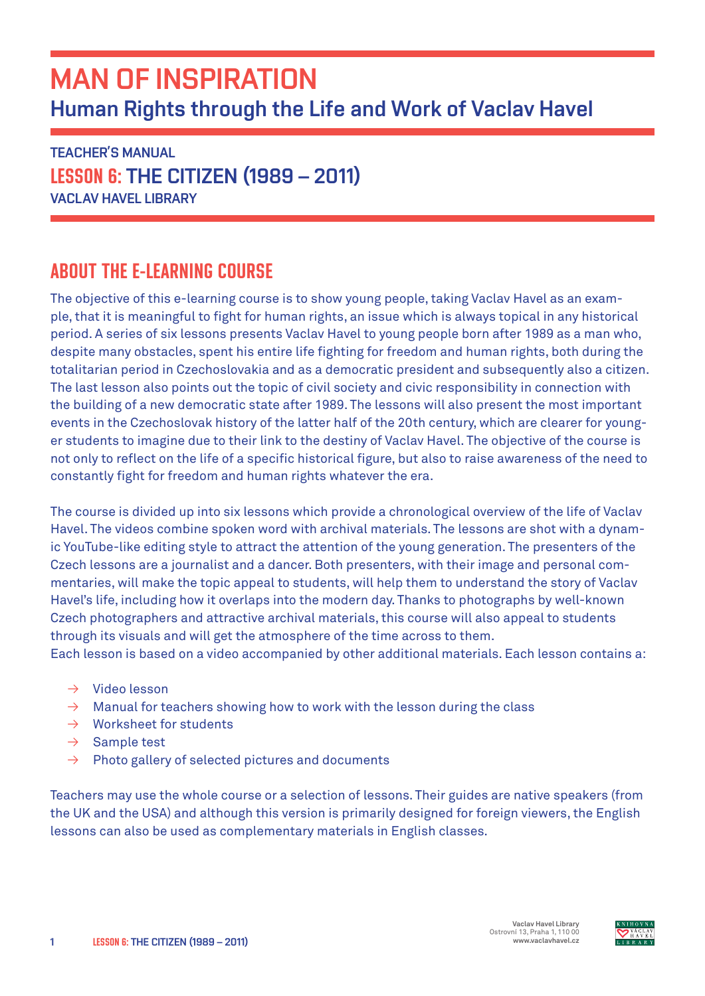# MAN OF INSPIRATION Human Rights through the Life and Work of Vaclav Havel

TEACHER'S MANUAL LESSON 6: THE CITIZEN (1989 – 2011) VACLAV HAVEL LIBRARY

## ABOUT THE E-LEARNING COURSE

The objective of this e-learning course is to show young people, taking Vaclav Havel as an example, that it is meaningful to fight for human rights, an issue which is always topical in any historical period. A series of six lessons presents Vaclav Havel to young people born after 1989 as a man who, despite many obstacles, spent his entire life fighting for freedom and human rights, both during the totalitarian period in Czechoslovakia and as a democratic president and subsequently also a citizen. The last lesson also points out the topic of civil society and civic responsibility in connection with the building of a new democratic state after 1989. The lessons will also present the most important events in the Czechoslovak history of the latter half of the 20th century, which are clearer for younger students to imagine due to their link to the destiny of Vaclav Havel. The objective of the course is not only to reflect on the life of a specific historical figure, but also to raise awareness of the need to constantly fight for freedom and human rights whatever the era.

The course is divided up into six lessons which provide a chronological overview of the life of Vaclav Havel. The videos combine spoken word with archival materials. The lessons are shot with a dynamic YouTube-like editing style to attract the attention of the young generation. The presenters of the Czech lessons are a journalist and a dancer. Both presenters, with their image and personal commentaries, will make the topic appeal to students, will help them to understand the story of Vaclav Havel's life, including how it overlaps into the modern day. Thanks to photographs by well-known Czech photographers and attractive archival materials, this course will also appeal to students through its visuals and will get the atmosphere of the time across to them.

Each lesson is based on a video accompanied by other additional materials. Each lesson contains a:

- $\rightarrow$  Video lesson
- $\rightarrow$  Manual for teachers showing how to work with the lesson during the class
- $\rightarrow$  Worksheet for students
- $\rightarrow$  Sample test
- $\rightarrow$  Photo gallery of selected pictures and documents

Teachers may use the whole course or a selection of lessons. Their guides are native speakers (from the UK and the USA) and although this version is primarily designed for foreign viewers, the English lessons can also be used as complementary materials in English classes.

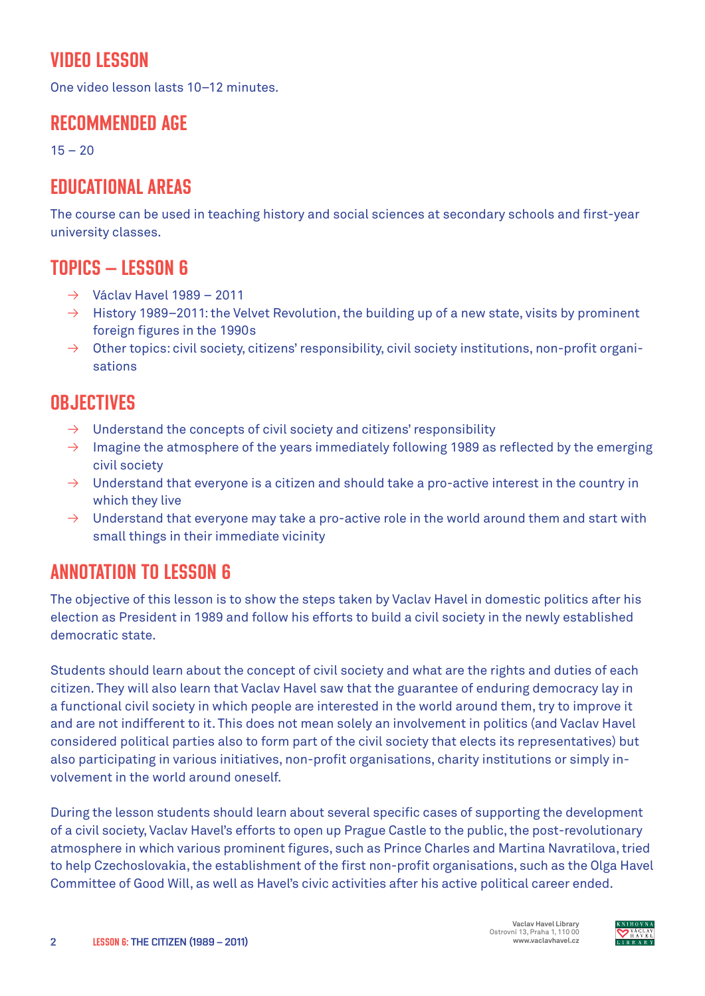## VIDEO LESSON

One video lesson lasts 10–12 minutes.

#### RECOMMENDED AGE

 $15 - 20$ 

## EDUCATIONAL AREAS

The course can be used in teaching history and social sciences at secondary schools and first-year university classes.

#### TOPICS – LESSON 6

- $\rightarrow$  Václav Havel 1989 2011
- $\rightarrow$  History 1989–2011: the Velvet Revolution, the building up of a new state, visits by prominent foreign figures in the 1990s
- $\rightarrow$  Other topics: civil society, citizens' responsibility, civil society institutions, non-profit organisations

#### **OBJECTIVES**

- $\rightarrow$  Understand the concepts of civil society and citizens' responsibility
- $\rightarrow$  Imagine the atmosphere of the years immediately following 1989 as reflected by the emerging civil society
- $\rightarrow$  Understand that everyone is a citizen and should take a pro-active interest in the country in which they live
- $\rightarrow$  Understand that everyone may take a pro-active role in the world around them and start with small things in their immediate vicinity

### ANNOTATION TO LESSON 6

The objective of this lesson is to show the steps taken by Vaclav Havel in domestic politics after his election as President in 1989 and follow his efforts to build a civil society in the newly established democratic state.

Students should learn about the concept of civil society and what are the rights and duties of each citizen. They will also learn that Vaclav Havel saw that the guarantee of enduring democracy lay in a functional civil society in which people are interested in the world around them, try to improve it and are not indifferent to it. This does not mean solely an involvement in politics (and Vaclav Havel considered political parties also to form part of the civil society that elects its representatives) but also participating in various initiatives, non-profit organisations, charity institutions or simply involvement in the world around oneself.

During the lesson students should learn about several specific cases of supporting the development of a civil society, Vaclav Havel's efforts to open up Prague Castle to the public, the post-revolutionary atmosphere in which various prominent figures, such as Prince Charles and Martina Navratilova, tried to help Czechoslovakia, the establishment of the first non-profit organisations, such as the Olga Havel Committee of Good Will, as well as Havel's civic activities after his active political career ended.

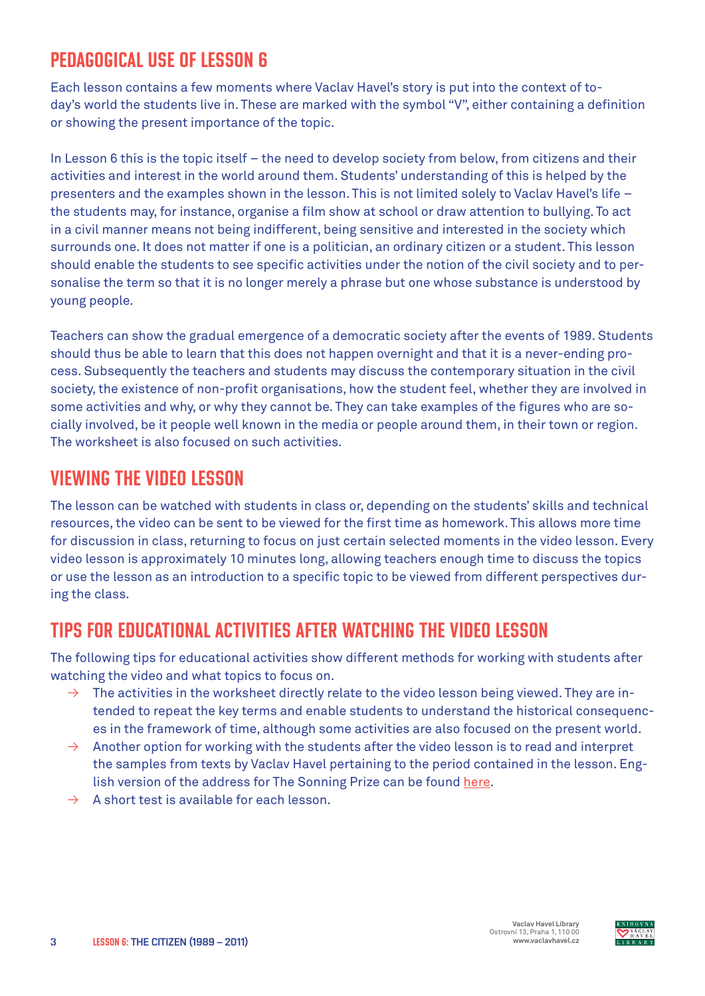## PEDAGOGICAL USE OF LESSON 6

Each lesson contains a few moments where Vaclav Havel's story is put into the context of today's world the students live in. These are marked with the symbol "V", either containing a definition or showing the present importance of the topic.

In Lesson 6 this is the topic itself – the need to develop society from below, from citizens and their activities and interest in the world around them. Students' understanding of this is helped by the presenters and the examples shown in the lesson. This is not limited solely to Vaclav Havel's life – the students may, for instance, organise a film show at school or draw attention to bullying. To act in a civil manner means not being indifferent, being sensitive and interested in the society which surrounds one. It does not matter if one is a politician, an ordinary citizen or a student. This lesson should enable the students to see specific activities under the notion of the civil society and to personalise the term so that it is no longer merely a phrase but one whose substance is understood by young people.

Teachers can show the gradual emergence of a democratic society after the events of 1989. Students should thus be able to learn that this does not happen overnight and that it is a never-ending process. Subsequently the teachers and students may discuss the contemporary situation in the civil society, the existence of non-profit organisations, how the student feel, whether they are involved in some activities and why, or why they cannot be. They can take examples of the figures who are socially involved, be it people well known in the media or people around them, in their town or region. The worksheet is also focused on such activities.

### VIEWING THE VIDEO LESSON

The lesson can be watched with students in class or, depending on the students' skills and technical resources, the video can be sent to be viewed for the first time as homework. This allows more time for discussion in class, returning to focus on just certain selected moments in the video lesson. Every video lesson is approximately 10 minutes long, allowing teachers enough time to discuss the topics or use the lesson as an introduction to a specific topic to be viewed from different perspectives during the class.

## TIPS FOR EDUCATIONAL ACTIVITIES AFTER WATCHING THE VIDEO LESSON

The following tips for educational activities show different methods for working with students after watching the video and what topics to focus on.

- $\rightarrow$  The activities in the worksheet directly relate to the video lesson being viewed. They are intended to repeat the key terms and enable students to understand the historical consequences in the framework of time, although some activities are also focused on the present world.
- $\rightarrow$  Another option for working with the students after the video lesson is to read and interpret the samples from texts by Vaclav Havel pertaining to the period contained in the lesson. English version of the address for The Sonning Prize can be found [here.](https://archive.vaclavhavel-library.org/Archive/Detail/35493?q=sonning%20price)
- $\rightarrow$  A short test is available for each lesson.